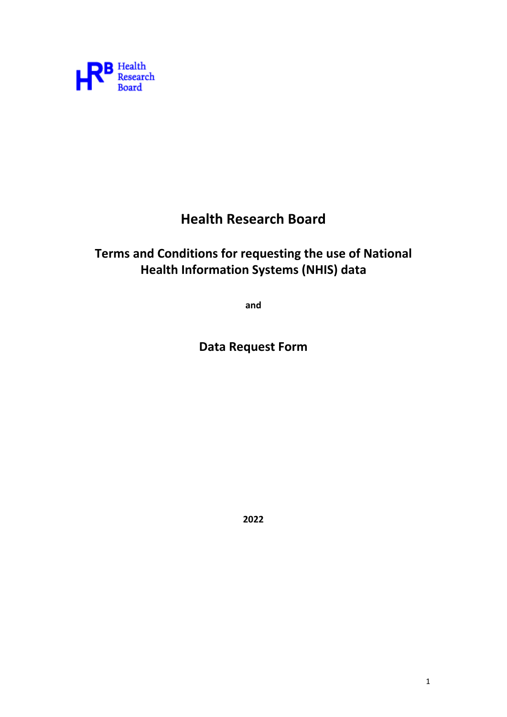

# **Health Research Board**

## **Terms and Conditions for requesting the use of National Health Information Systems (NHIS) data**

**and** 

**Data Request Form**

**2022**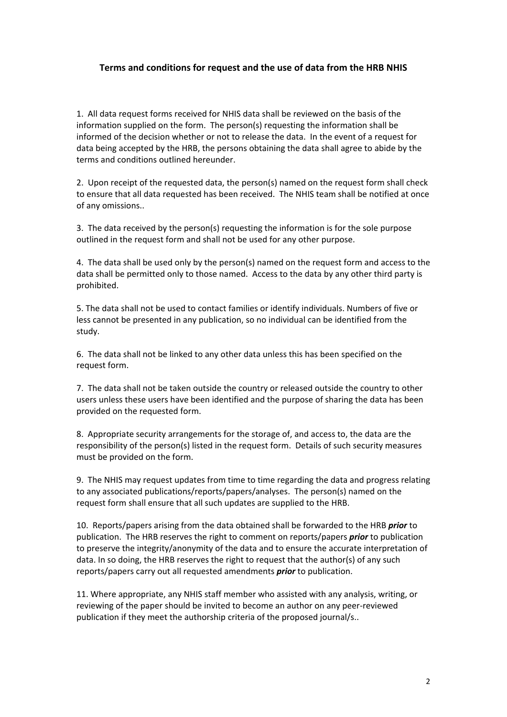### **Terms and conditions for request and the use of data from the HRB NHIS**

1. All data request forms received for NHIS data shall be reviewed on the basis of the information supplied on the form. The person(s) requesting the information shall be informed of the decision whether or not to release the data. In the event of a request for data being accepted by the HRB, the persons obtaining the data shall agree to abide by the terms and conditions outlined hereunder.

2. Upon receipt of the requested data, the person(s) named on the request form shall check to ensure that all data requested has been received. The NHIS team shall be notified at once of any omissions..

3. The data received by the person(s) requesting the information is for the sole purpose outlined in the request form and shall not be used for any other purpose.

4. The data shall be used only by the person(s) named on the request form and access to the data shall be permitted only to those named. Access to the data by any other third party is prohibited.

5. The data shall not be used to contact families or identify individuals. Numbers of five or less cannot be presented in any publication, so no individual can be identified from the study.

6. The data shall not be linked to any other data unless this has been specified on the request form.

7. The data shall not be taken outside the country or released outside the country to other users unless these users have been identified and the purpose of sharing the data has been provided on the requested form.

8. Appropriate security arrangements for the storage of, and access to, the data are the responsibility of the person(s) listed in the request form. Details of such security measures must be provided on the form.

9. The NHIS may request updates from time to time regarding the data and progress relating to any associated publications/reports/papers/analyses. The person(s) named on the request form shall ensure that all such updates are supplied to the HRB.

10. Reports/papers arising from the data obtained shall be forwarded to the HRB *prior* to publication. The HRB reserves the right to comment on reports/papers *prior* to publication to preserve the integrity/anonymity of the data and to ensure the accurate interpretation of data. In so doing, the HRB reserves the right to request that the author(s) of any such reports/papers carry out all requested amendments *prior* to publication.

11. Where appropriate, any NHIS staff member who assisted with any analysis, writing, or reviewing of the paper should be invited to become an author on any peer‐reviewed publication if they meet the authorship criteria of the proposed journal/s..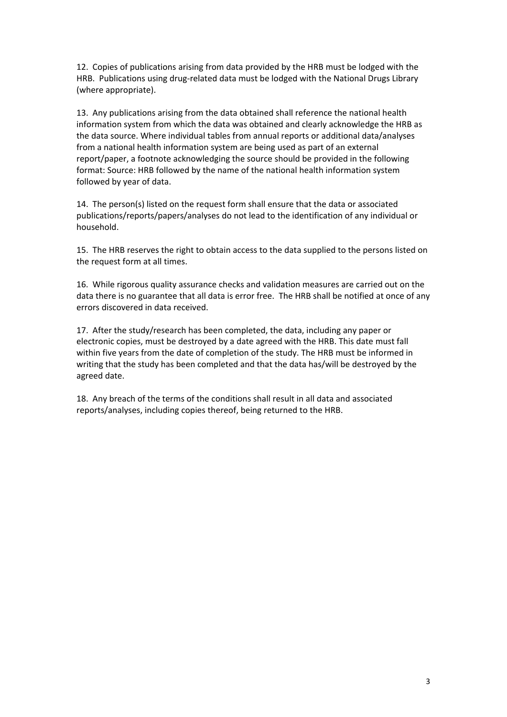12. Copies of publications arising from data provided by the HRB must be lodged with the HRB. Publications using drug-related data must be lodged with the National Drugs Library (where appropriate).

13. Any publications arising from the data obtained shall reference the national health information system from which the data was obtained and clearly acknowledge the HRB as the data source. Where individual tables from annual reports or additional data/analyses from a national health information system are being used as part of an external report/paper, a footnote acknowledging the source should be provided in the following format: Source: HRB followed by the name of the national health information system followed by year of data.

14. The person(s) listed on the request form shall ensure that the data or associated publications/reports/papers/analyses do not lead to the identification of any individual or household.

15. The HRB reserves the right to obtain access to the data supplied to the persons listed on the request form at all times.

16. While rigorous quality assurance checks and validation measures are carried out on the data there is no guarantee that all data is error free. The HRB shall be notified at once of any errors discovered in data received.

17. After the study/research has been completed, the data, including any paper or electronic copies, must be destroyed by a date agreed with the HRB. This date must fall within five years from the date of completion of the study. The HRB must be informed in writing that the study has been completed and that the data has/will be destroyed by the agreed date.

18. Any breach of the terms of the conditions shall result in all data and associated reports/analyses, including copies thereof, being returned to the HRB.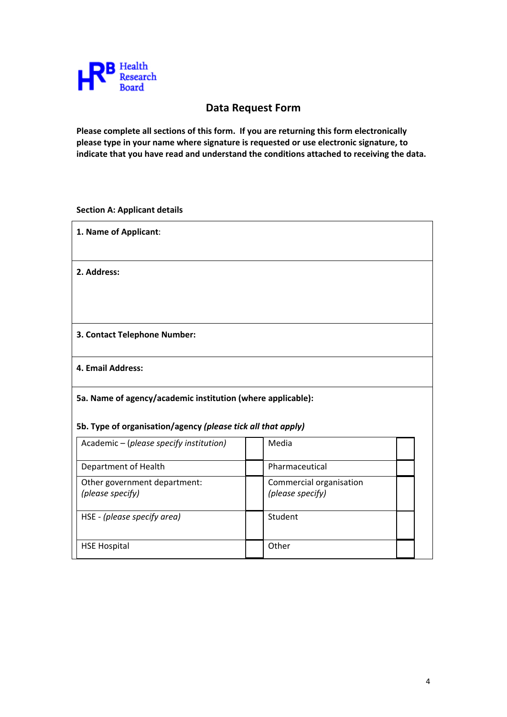

## **Data Request Form**

**Please complete all sections of this form. If you are returning this form electronically please type in your name where signature is requested or use electronic signature, to indicate that you have read and understand the conditions attached to receiving the data.**

**Section A: Applicant details**

| 1. Name of Applicant:                                        |                                             |  |  |  |
|--------------------------------------------------------------|---------------------------------------------|--|--|--|
| 2. Address:                                                  |                                             |  |  |  |
|                                                              |                                             |  |  |  |
| 3. Contact Telephone Number:                                 |                                             |  |  |  |
| 4. Email Address:                                            |                                             |  |  |  |
| 5a. Name of agency/academic institution (where applicable):  |                                             |  |  |  |
| 5b. Type of organisation/agency (please tick all that apply) |                                             |  |  |  |
| Academic - (please specify institution)                      | Media                                       |  |  |  |
| Department of Health                                         | Pharmaceutical                              |  |  |  |
| Other government department:<br>(please specify)             | Commercial organisation<br>(please specify) |  |  |  |
| HSE - (please specify area)                                  | Student                                     |  |  |  |
| <b>HSE Hospital</b>                                          | Other                                       |  |  |  |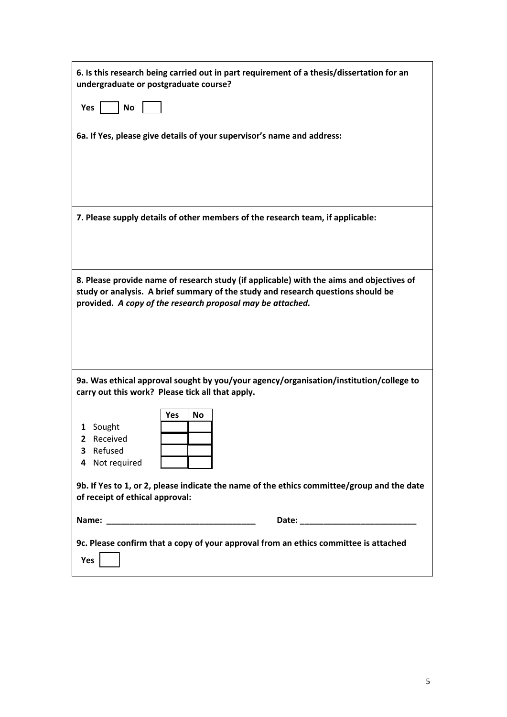| 6. Is this research being carried out in part requirement of a thesis/dissertation for an<br>undergraduate or postgraduate course?                                                                                                         |  |  |  |
|--------------------------------------------------------------------------------------------------------------------------------------------------------------------------------------------------------------------------------------------|--|--|--|
| Yes<br><b>No</b>                                                                                                                                                                                                                           |  |  |  |
| 6a. If Yes, please give details of your supervisor's name and address:                                                                                                                                                                     |  |  |  |
| 7. Please supply details of other members of the research team, if applicable:                                                                                                                                                             |  |  |  |
| 8. Please provide name of research study (if applicable) with the aims and objectives of<br>study or analysis. A brief summary of the study and research questions should be<br>provided. A copy of the research proposal may be attached. |  |  |  |
| 9a. Was ethical approval sought by you/your agency/organisation/institution/college to<br>carry out this work? Please tick all that apply.                                                                                                 |  |  |  |
| Yes<br>No<br>1 Sought<br>Received<br>$\mathbf{2}$<br>Refused<br>3<br>4 Not required                                                                                                                                                        |  |  |  |
| 9b. If Yes to 1, or 2, please indicate the name of the ethics committee/group and the date<br>of receipt of ethical approval:                                                                                                              |  |  |  |
|                                                                                                                                                                                                                                            |  |  |  |
| 9c. Please confirm that a copy of your approval from an ethics committee is attached<br>Yes                                                                                                                                                |  |  |  |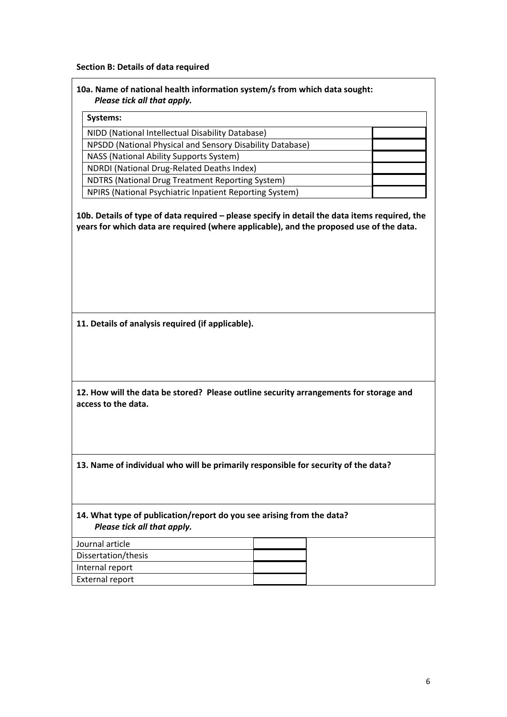#### **Section B: Details of data required**

#### **10a. Name of national health information system/s from which data sought:** *Please tick all that apply.*

| Systems:                                                  |  |  |
|-----------------------------------------------------------|--|--|
| NIDD (National Intellectual Disability Database)          |  |  |
| NPSDD (National Physical and Sensory Disability Database) |  |  |
| NASS (National Ability Supports System)                   |  |  |
| NDRDI (National Drug-Related Deaths Index)                |  |  |
| NDTRS (National Drug Treatment Reporting System)          |  |  |
| NPIRS (National Psychiatric Inpatient Reporting System)   |  |  |

**10b. Details of type of data required – please specify in detail the data items required, the years for which data are required (where applicable), and the proposed use of the data.** 

**11. Details of analysis required (if applicable).**

**12. How will the data be stored? Please outline security arrangements for storage and access to the data.**

**13. Name of individual who will be primarily responsible for security of the data?**

**14. What type of publication/report do you see arising from the data?** *Please tick all that apply.*

| Journal article        |  |
|------------------------|--|
| Dissertation/thesis    |  |
| Internal report        |  |
| <b>External report</b> |  |